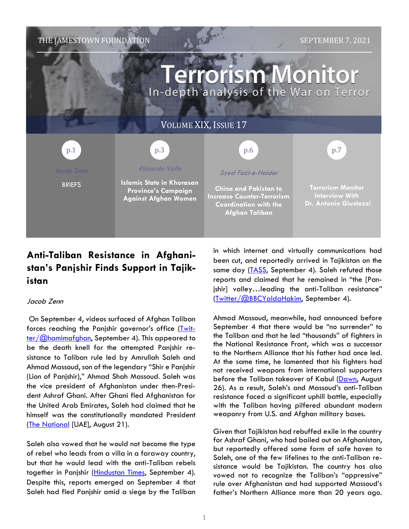

# **Anti-Taliban Resistance in Afghanistan's Panjshir Finds Support in Tajikistan**

## Jacob Zenn

On September 4, videos surfaced of Afghan Taliban forces reaching the Panjshir governor's office [\(Twit](https://twitter.com/hamemafghan/status/1434181117742047240)[ter/@hamimafghan,](https://twitter.com/hamemafghan/status/1434181117742047240) September 4). This appeared to be the death knell for the attempted Panjshir resistance to Taliban rule led by Amrullah Saleh and Ahmad Massoud, son of the legendary "Shir e Panjshir (Lion of Panjshir)," Ahmad Shah Massoud. Saleh was the vice president of Afghanistan under then-President Ashraf Ghani. After Ghani fled Afghanistan for the United Arab Emirates, Saleh had claimed that he himself was the constitutionally mandated President (The [National](https://www.thenationalnews.com/world/asia/2021/08/26/former-vice-president-in-panjshir-valley-claims-he-is-afghan-president/) [UAE], August 21).

Saleh also vowed that he would not become the type of rebel who leads from a villa in a faraway country, but that he would lead with the anti-Taliban rebels together in Panjshir [\(Hindustan](https://www.hindustantimes.com/world-news/destroyed-photos-of-my-wife-daughters-amrullah-saleh-recounts-how-he-left-kabul-101630766122137.html) Times, September 4). Despite this, reports emerged on September 4 that Saleh had fled Panjshir amid a siege by the Taliban in which internet and virtually communications had been cut, and reportedly arrived in Tajikistan on the same day [\(TASS,](https://tass.com/world/1333907) September 4). Saleh refuted those reports and claimed that he remained in "the [Panjshir] valley…leading the anti-Taliban resistance" [\(Twitter/@BBCYaldaHakim,](https://twitter.com/BBCYaldaHakim/status/1433821523777830922) September 4).

Ahmad Massoud, meanwhile, had announced before September 4 that there would be "no surrender" to the Taliban and that he led "thousands" of fighters in the National Resistance Front, which was a successor to the Northern Alliance that his father had once led. At the same time, he lamented that his fighters had not received weapons from international supporters before the Taliban takeover of Kabul [\(Dawn,](https://www.dawn.com/news/1642681) August 26). As a result, Saleh's and Massoud's anti-Taliban resistance faced a significant uphill battle, especially with the Taliban having pilfered abundant modern weaponry from U.S. and Afghan military bases.

Given that Tajikistan had rebuffed exile in the country for Ashraf Ghani, who had bailed out on Afghanistan, but reportedly offered some form of safe haven to Saleh, one of the few lifelines to the anti-Taliban resistance would be Tajikistan. The country has also vowed not to recognize the Taliban's "oppressive" rule over Afghanistan and had supported Massoud's father's Northern Alliance more than 20 years ago.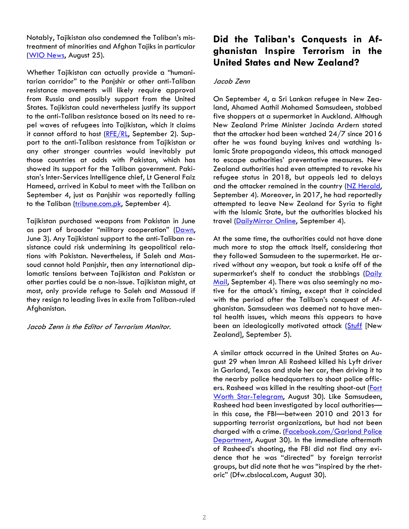Notably, Tajikistan also condemned the Taliban's mistreatment of minorities and Afghan Tajiks in particular (WIO [News,](https://www.wionews.com/world/tajikistans-red-line-on-taliban-will-not-recognise-government-formed-through-oppression-408358) August 25).

Whether Tajikistan can actually provide a "humanitarian corridor" to the Panjshir or other anti-Taliban resistance movements will likely require approval from Russia and possibly support from the United States. Tajikistan could nevertheless justify its support to the anti-Taliban resistance based on its need to repel waves of refugees into Tajikistan, which it claims it cannot afford to host ( $RFE/RL$ , September 2). Support to the anti-Taliban resistance from Tajikistan or any other stronger countries would inevitably put those countries at odds with Pakistan, which has showed its support for the Taliban government. Pakistan's Inter-Services Intelligence chief, Lt General Faiz Hameed, arrived in Kabul to meet with the Taliban on September 4, just as Panjshir was reportedly falling to the Taliban [\(tribune.com.pk,](https://tribune.com.pk/story/2318590/isi-chief-to-meet-taliban-leadership-during-kabul-visit) September 4).

Tajikistan purchased weapons from Pakistan in June as part of broader "military cooperation" [\(Dawn,](https://www.dawn.com/news/1627157) June 3). Any Tajikistani support to the anti-Taliban resistance could risk undermining its geopolitical relations with Pakistan. Nevertheless, if Saleh and Massoud cannot hold Panjshir, then any international diplomatic tensions between Tajikistan and Pakistan or other parties could be a non-issue. Tajikistan might, at most, only provide refuge to Saleh and Massoud if they resign to leading lives in exile from Taliban-ruled Afghanistan.

Jacob Zenn is the Editor of Terrorism Monitor.

## **Did the Taliban's Conquests in Afghanistan Inspire Terrorism in the United States and New Zealand?**

### Jacob Zenn

On September 4, a Sri Lankan refugee in New Zealand, Ahamed Aathil Mohamed Samsudeen, stabbed five shoppers at a supermarket in Auckland. Although New Zealand Prime Minister Jacinda Ardern stated that the attacker had been watched 24/7 since 2016 after he was found buying knives and watching Islamic State propaganda videos, this attack managed to escape authorities' preventative measures. New Zealand authorities had even attempted to revoke his refugee status in 2018, but appeals led to delays and the attacker remained in the country (NZ [Herald,](https://www.nzherald.co.nz/nz/auckland-mall-terrorist-attack-lone-wolf-isis-supporter-identified-as-sri-lankan-refugee-ahamed-aathil-mohamed-samsudeen/ZKP4IST56NJWH3SPNM5GNF7XI4/) September 4). Moreover, in 2017, he had reportedly attempted to leave New Zealand for Syria to fight with the Islamic State, but the authorities blocked his travel (Daily Mirror Online, September 4).

At the same time, the authorities could not have done much more to stop the attack itself, considering that they followed Samsudeen to the supermarket. He arrived without any weapon, but took a knife off of the supermarket's shelf to conduct the stabbings [\(Daily](https://www.dailymail.co.uk/news/article-9957273/New-Zealand-police-waited-outside-supermarket-knifeman-injured-seven-avoid-spotted.html) [Mail,](https://www.dailymail.co.uk/news/article-9957273/New-Zealand-police-waited-outside-supermarket-knifeman-injured-seven-avoid-spotted.html) September 4). There was also seemingly no motive for the attack's timing, except that it coincided with the period after the Taliban's conquest of Afghanistan. Samsudeen was deemed not to have mental health issues, which means this appears to have been an ideologically motivated attack [\(Stuff](https://www.stuff.co.nz/national/126290150/auckland-terror-attack-terrorists-beliefs-not-symptoms-of-mental-illness) [New Zealand], September 5).

A similar attack occurred in the United States on August 29 when Imran Ali Rasheed killed his Lyft driver in Garland, Texas and stole her car, then driving it to the nearby police headquarters to shoot police officers. Rasheed was killed in the resulting shoot-out [\(Fort](https://www.star-telegram.com/news/local/crime/article253837388.html) Worth [Star-Telegram,](https://www.star-telegram.com/news/local/crime/article253837388.html) August 30). Like Samsudeen, Rasheed had been investigated by local authorities in this case, the FBI—between 2010 and 2013 for supporting terrorist organizations, but had not been charged with a crime. [\(Facebook.com/Garland](https://www.facebook.com/watch/live/?v=865184414394737&ref=watch_permalink) Police [Department,](https://www.facebook.com/watch/live/?v=865184414394737&ref=watch_permalink) August 30). In the immediate aftermath of Rasheed's shooting, the FBI did not find any evidence that he was "directed" by foreign terrorist groups, but did note that he was "inspired by the rhetoric" (Dfw.cbslocal.com, August 30).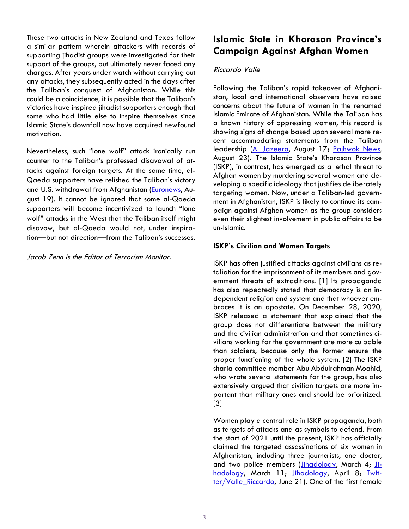These two attacks in New Zealand and Texas follow a similar pattern wherein attackers with records of supporting jihadist groups were investigated for their support of the groups, but ultimately never faced any charges. After years under watch without carrying out any attacks, they subsequently acted in the days after the Taliban's conquest of Afghanistan. While this could be a coincidence, it is possible that the Taliban's victories have inspired jihadist supporters enough that some who had little else to inspire themselves since Islamic State's downfall now have acquired newfound motivation.

Nevertheless, such "lone wolf" attack ironically run counter to the Taliban's professed disavowal of attacks against foreign targets. At the same time, al-Qaeda supporters have relished the Taliban's victory and U.S. withdrawal from Afghanistan [\(Euronews,](https://www.euronews.com/2021/08/19/taliban-takeover-could-lead-to-renewed-terror-attacks-in-europe-view) August 19). It cannot be ignored that some al-Qaeda supporters will become incentivized to launch "lone wolf" attacks in the West that the Taliban itself might disavow, but al-Qaeda would not, under inspiration—but not direction—from the Taliban's successes.

Jacob Zenn is the Editor of Terrorism Monitor.

## **Islamic State in Khorasan Province's Campaign Against Afghan Women**

### Riccardo Valle

Following the Taliban's rapid takeover of Afghanistan, local and international observers have raised concerns about the future of women in the renamed Islamic Emirate of Afghanistan. While the Taliban has a known history of oppressing women, this record is showing signs of change based upon several more recent accommodating statements from the Taliban leadership (Al [Jazeera,](https://www.aljazeera.com/news/2021/8/17/transcript-of-talibans-first-press-conference-in-kabul) August 17; [Pajhwok](https://pajhwok.com/2021/08/23/girls-can-study-up-to-higher-education-taliban-official/?utm_source=dlvr.it&utm_medium=twitter) News, August 23). The Islamic State's Khorasan Province (ISKP), in contrast, has emerged as a lethal threat to Afghan women by murdering several women and developing a specific ideology that justifies deliberately targeting women. Now, under a Taliban-led government in Afghanistan, ISKP is likely to continue its campaign against Afghan women as the group considers even their slightest involvement in public affairs to be un-Islamic.

## **ISKP's Civilian and Women Targets**

ISKP has often justified attacks against civilians as retaliation for the imprisonment of its members and government threats of extraditions. [1] Its propaganda has also repeatedly stated that democracy is an independent religion and system and that whoever embraces it is an apostate. On December 28, 2020, ISKP released a statement that explained that the group does not differentiate between the military and the civilian administration and that sometimes civilians working for the government are more culpable than soldiers, because only the former ensure the proper functioning of the whole system. [2] The ISKP sharia committee member Abu Abdulrahman Moahid, who wrote several statements for the group, has also extensively argued that civilian targets are more important than military ones and should be prioritized. [3]

Women play a central role in ISKP propaganda, both as targets of attacks and as symbols to defend. From the start of 2021 until the present, ISKP has officially claimed the targeted assassinations of six women in Afghanistan, including three journalists, one doctor, and two police members (*Jihadology*, March 4; [Ji](https://jihadology.net/2021/03/11/new-issue-of-the-islamic-states-newsletter-al-naba-277/)[hadology,](https://jihadology.net/2021/03/11/new-issue-of-the-islamic-states-newsletter-al-naba-277/) March 11; [Jihadology,](https://jihadology.net/2021/04/08/new-issue-of-the-islamic-states-newsletter-al-naba-281/) April 8; [Twit](https://twitter.com/Valle_Riccardo_/status/1406984770886766592)[ter/Valle\\_Riccardo,](https://twitter.com/Valle_Riccardo_/status/1406984770886766592) June 21). One of the first female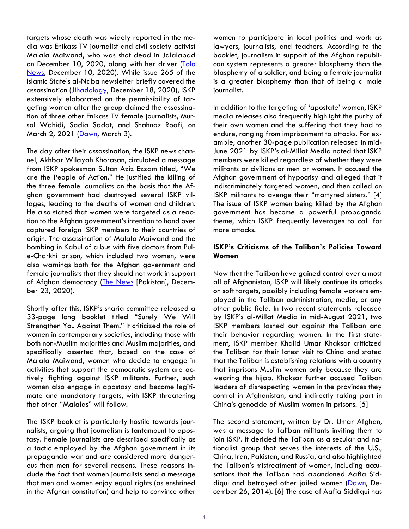targets whose death was widely reported in the media was Enikass TV journalist and civil society activist Malala Maiwand, who was shot dead in Jalalabad on December 10, 2020, along with her driver [\(Tolo](https://tolonews.com/afghanistan-168387) [News,](https://tolonews.com/afghanistan-168387) December 10, 2020). While issue 265 of the Islamic State's al-Naba newsletter briefly covered the assassination (*Jihadology*, December 18, 2020), ISKP extensively elaborated on the permissibility of targeting women after the group claimed the assassination of three other Enikass TV female journalists, Mursal Wahidi, Sadia Sadat, and Shahnaz Roafi, on March 2, 2021 [\(Dawn,](https://www.dawn.com/news/1610408) March 3).

The day after their assassination, the ISKP news channel, Akhbar Wilayah Khorasan, circulated a message from ISKP spokesman Sultan Aziz Ezzam titled, "We are the People of Action." He justified the killing of the three female journalists on the basis that the Afghan government had destroyed several ISKP villages, leading to the deaths of women and children. He also stated that women were targeted as a reaction to the Afghan government's intention to hand over captured foreign ISKP members to their countries of origin. The assassination of Malala Maiwand and the bombing in Kabul of a bus with five doctors from Pule-Charkhi prison, which included two women, were also warnings both for the Afghan government and female journalists that they should not work in support of Afghan democracy (The [News](https://www.thenews.com.pk/print/763116-2-female-doctors-among-five-killed-in-afghan-bombing) [Pakistan], December 23, 2020).

Shortly after this, ISKP's sharia committee released a 33-page long booklet titled "Surely We Will Strengthen You Against Them." It criticized the role of women in contemporary societies, including those with both non-Muslim majorities and Muslim majorities, and specifically asserted that, based on the case of Malala Maiwand, women who decide to engage in activities that support the democratic system are actively fighting against ISKP militants. Further, such women also engage in apostasy and become legitimate and mandatory targets, with ISKP threatening that other "Malalas" will follow.

The ISKP booklet is particularly hostile towards journalists, arguing that journalism is tantamount to apostasy. Female journalists are described specifically as a tactic employed by the Afghan government in its propaganda war and are considered more dangerous than men for several reasons. These reasons include the fact that women journalists send a message that men and women enjoy equal rights (as enshrined in the Afghan constitution) and help to convince other

women to participate in local politics and work as lawyers, journalists, and teachers. According to the booklet, journalism in support of the Afghan republican system represents a greater blasphemy than the blasphemy of a soldier, and being a female journalist is a greater blasphemy than that of being a male journalist.

In addition to the targeting of 'apostate' women, ISKP media releases also frequently highlight the purity of their own women and the suffering that they had to endure, ranging from imprisonment to attacks. For example, another 30-page publication released in mid-June 2021 by ISKP's al-Millat Media noted that ISKP members were killed regardless of whether they were militants or civilians or men or women. It accused the Afghan government of hypocrisy and alleged that it indiscriminately targeted women, and then called on ISKP militants to avenge their "martyred sisters." [4] The issue of ISKP women being killed by the Afghan government has become a powerful propaganda theme, which ISKP frequently leverages to call for more attacks.

## **ISKP's Criticisms of the Taliban's Policies Toward Women**

Now that the Taliban have gained control over almost all of Afghanistan, ISKP will likely continue its attacks on soft targets, possibly including female workers employed in the Taliban administration, media, or any other public field. In two recent statements released by ISKP's al-Millat Media in mid-August 2021, two ISKP members lashed out against the Taliban and their behavior regarding women. In the first statement, ISKP member Khalid Umar Khaksar criticized the Taliban for their latest visit to China and stated that the Taliban is establishing relations with a country that imprisons Muslim women only because they are wearing the hijab. Khaksar further accused Taliban leaders of disrespecting women in the provinces they control in Afghanistan, and indirectly taking part in China's genocide of Muslim women in prisons. [5]

The second statement, written by Dr. Umar Afghan, was a message to Taliban militants inviting them to join ISKP. It derided the Taliban as a secular and nationalist group that serves the interests of the U.S., China, Iran, Pakistan, and Russia, and also highlighted the Taliban's mistreatment of women, including accusations that the Taliban had abandoned Aafia Siddiqui and betrayed other jailed women [\(Dawn,](https://www.dawn.com/news/1153276) December 26, 2014). [6] The case of Aafia Siddiqui has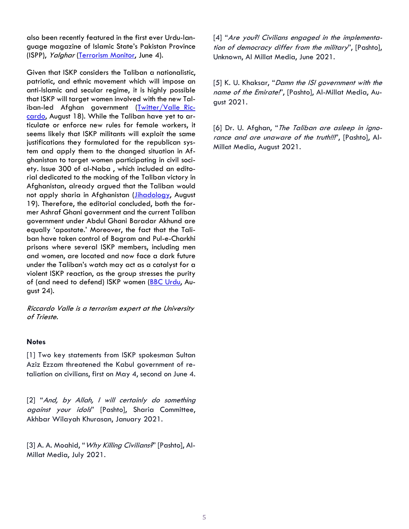also been recently featured in the first ever Urdu-language magazine of Islamic State's Pakistan Province (ISPP), Yalghar [\(Terrorism](https://jamestown.org/program/islamic-states-pakistan-province-launches-new-jihadist-magazine-revealing-struggling-propaganda-effort/) Monitor, June 4).

Given that ISKP considers the Taliban a nationalistic, patriotic, and ethnic movement which will impose an anti-Islamic and secular regime, it is highly possible that ISKP will target women involved with the new Taliban-led Afghan government (Twitter/Valle Ric[cardo,](https://twitter.com/Valle_Riccardo_/status/1427952402792071170?s=20) August 18). While the Taliban have yet to articulate or enforce new rules for female workers, it seems likely that ISKP militants will exploit the same justifications they formulated for the republican system and apply them to the changed situation in Afghanistan to target women participating in civil society. Issue 300 of al-Naba , which included an editorial dedicated to the mocking of the Taliban victory in Afghanistan, already argued that the Taliban would not apply sharia in Afghanistan (*Jihadology*, August 19). Therefore, the editorial concluded, both the former Ashraf Ghani government and the current Taliban government under Abdul Ghani Baradar Akhund are equally 'apostate.' Moreover, the fact that the Taliban have taken control of Bagram and Pul-e-Charkhi prisons where several ISKP members, including men and women, are located and now face a dark future under the Taliban's watch may act as a catalyst for a violent ISKP reaction, as the group stresses the purity of (and need to defend) ISKP women (BBC [Urdu,](https://www.bbc.com/urdu/regional-58276102) August 24).

Riccardo Valle is <sup>a</sup> terrorism expert at the University of Trieste.

#### **Notes**

[1] Two key statements from ISKP spokesman Sultan Aziz Ezzam threatened the Kabul government of retaliation on civilians, first on May 4, second on June 4.

[2] "And, by Allah, I will certainly do something against your idols" [Pashto], Sharia Committee, Akhbar Wilayah Khurasan, January 2021.

[3] A. A. Moahid, "Why Killing Civilians?" [Pashto], Al-Millat Media, July 2021.

[4] "Are you?! Civilians engaged in the implementation of democracy differ from the military", [Pashto], Unknown, Al Millat Media, June 2021.

[5] K. U. Khaksar, "Damn the ISI government with the name of the Emirate!', [Pashto], Al-Millat Media, August 2021.

[6] Dr. U. Afghan, "The Taliban are asleep in ignorance and are unaware of the truth!!!", [Pashto], Al-Millat Media, August 2021.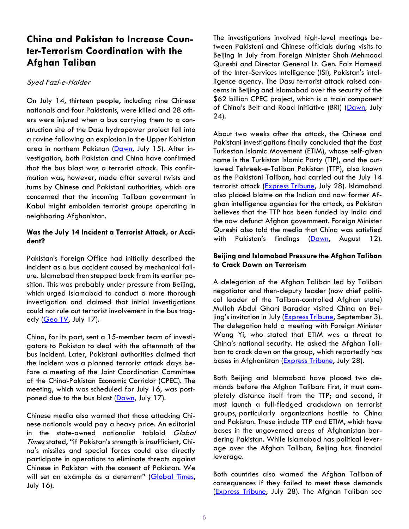## **China and Pakistan to Increase Counter-Terrorism Coordination with the Afghan Taliban**

## Syed Fazl-e-Haider

On July 14, thirteen people, including nine Chinese nationals and four Pakistanis, were killed and 28 others were injured when a bus carrying them to a construction site of the Dasu hydropower project fell into a ravine following an explosion in the Upper Kohistan area in northern Pakistan [\(Dawn,](https://www.dawn.com/news/1635150) July 15). After investigation, both Pakistan and China have confirmed that the bus blast was a terrorist attack. This confirmation was, however, made after several twists and turns by Chinese and Pakistani authorities, which are concerned that the incoming Taliban government in Kabul might embolden terrorist groups operating in neighboring Afghanistan.

## **Was the July 14 Incident a Terrorist Attack, or Accident?**

Pakistan's Foreign Office had initially described the incident as a bus accident caused by mechanical failure. Islamabad then stepped back from its earlier position. This was probably under pressure from Beijing, which urged Islamabad to conduct a more thorough investigation and claimed that initial investigations could not rule out terrorist involvement in the bus trag-edy [\(Geo TV,](https://www.geo.tv/latest/360487-dasu-incident-pakistan-china-agree-to-complete-probe-soon) July 17).

China, for its part, sent a 15-member team of investigators to Pakistan to deal with the aftermath of the bus incident. Later, Pakistani authorities claimed that the incident was a planned terrorist attack days before a meeting of the Joint Coordination Committee of the China-Pakistan Economic Corridor (CPEC). The meeting, which was scheduled for July 16, was post-poned due to the bus blast [\(Dawn,](https://www.dawn.com/news/1635618/15-chinese-officials-part-of-dasu-incident-investigation-sheikh-rashid) July 17).

Chinese media also warned that those attacking Chinese nationals would pay a heavy price. An editorial in the state-owned nationalist tabloid Global Times stated, "if Pakistan's strength is insufficient, China's missiles and special forces could also directly participate in operations to eliminate threats against Chinese in Pakistan with the consent of Pakistan. We will set an example as a deterrent" ([Global Times,](https://www.globaltimes.cn/page/202107/1228865.shtml) July 16).

The investigations involved high-level meetings between Pakistani and Chinese officials during visits to Beijing in July from Foreign Minister Shah Mehmood Qureshi and Director General Lt. Gen. Faiz Hameed of the Inter-Services Intelligence (ISI), Pakistan's intelligence agency. The Dasu terrorist attack raised concerns in Beijing and Islamabad over the security of the \$62 billion CPEC project, which is a main component of China's Belt and Road Initiative (BRI) ([Dawn,](https://www.dawn.com/news/1636626/foreign-minister-isi-chief-in-china-for-strategic-dialogue) July 24).

About two weeks after the attack, the Chinese and Pakistani investigations finally concluded that the East Turkestan Islamic Movement (ETIM), whose self-given name is the Turkistan Islamic Party (TIP), and the outlawed Tehreek-e-Taliban Pakistan (TTP), also known as the Pakistani Taliban, had carried out the July 14 terrorist attack [\(Express Tribune,](https://tribune.com.pk/story/2312665/taliban-told-to-make-clean-break-from-etim-ttp) July 28). Islamabad also placed blame on the Indian and now former Afghan intelligence agencies for the attack, as Pakistan believes that the TTP has been funded by India and the now defunct Afghan government. Foreign Minister Qureshi also told the media that China was satisfied with Pakistan's findings ([Dawn,](https://www.dawn.com/news/1640278/indian-afghan-nexus-behind-dasu-bus-attack-qureshi) August 12).

### **Beijing and Islamabad Pressure the Afghan Taliban to Crack Down on Terrorism**

A delegation of the Afghan Taliban led by Taliban negotiator and then-deputy leader (now chief political leader of the Taliban-controlled Afghan state) Mullah Abdul Ghani Baradar visited China on Beijing's invitation in July ([Express Tribune,](https://tribune.com.pk/story/2318409/mullah-baradar-to-lead-new-afghanistan-government-taliban-sources) September 3). The delegation held a meeting with Foreign Minister Wang Yi, who stated that ETIM was a threat to China's national security. He asked the Afghan Taliban to crack down on the group, which reportedly has bases in Afghanistan [\(Express Tribune,](https://tribune.com.pk/story/2312661/china-expects-taliban-to-play-important-role-for-peace-in-afghanistan) July 28).

Both Beijing and Islamabad have placed two demands before the Afghan Taliban: first, it must completely distance itself from the TTP; and second, it must launch a full-fledged crackdown on terrorist groups, particularly organizations hostile to China and Pakistan. These include TTP and ETIM, which have bases in the ungoverned areas of Afghanistan bordering Pakistan. While Islamabad has political leverage over the Afghan Taliban, Beijing has financial leverage.

Both countries also warned the Afghan Taliban of consequences if they failed to meet these demands [\(Express Tribune,](https://tribune.com.pk/story/2312665/taliban-told-to-make-clean-break-from-etim-ttp) July 28). The Afghan Taliban see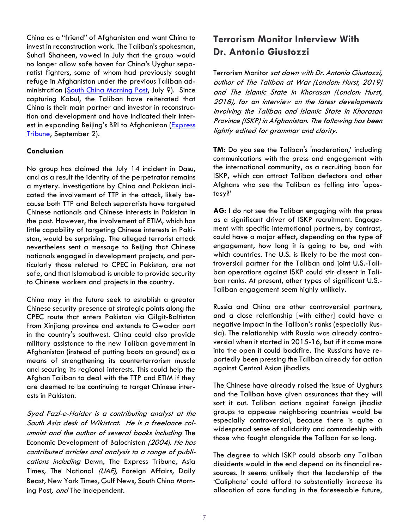China as a "friend" of Afghanistan and want China to invest in reconstruction work. The Taliban's spokesman, Suhail Shaheen, vowed in July that the group would no longer allow safe haven for China's Uyghur separatist fighters, some of whom had previously sought refuge in Afghanistan under the previous Taliban ad-ministration [\(South China Morning Post,](https://www.scmp.com/week-asia/politics/article/3140399/china-welcome-friend-reconstruction-afghanistan-taliban) July 9). Since capturing Kabul, the Taliban have reiterated that China is their main partner and investor in reconstruction and development and have indicated their interest in expanding Beijing's BRI to Afghanistan ([Express](https://tribune.com.pk/story/2318291/china-will-be-afghanistans-main-partner-say-taliban)  [Tribune,](https://tribune.com.pk/story/2318291/china-will-be-afghanistans-main-partner-say-taliban) September 2).

#### **Conclusion**

No group has claimed the July 14 incident in Dasu, and as a result the identity of the perpetrator remains a mystery. Investigations by China and Pakistan indicated the involvement of TTP in the attack, likely because both TTP and Baloch separatists have targeted Chinese nationals and Chinese interests in Pakistan in the past. However, the involvement of ETIM, which has little capability of targeting Chinese interests in Pakistan, would be surprising. The alleged terrorist attack nevertheless sent a message to Beijing that Chinese nationals engaged in development projects, and particularly those related to CPEC in Pakistan, are not safe, and that Islamabad is unable to provide security to Chinese workers and projects in the country.

China may in the future seek to establish a greater Chinese security presence at strategic points along the CPEC route that enters Pakistan via Gilgit-Baltistan from Xinjiang province and extends to Gwadar port in the country's southwest. China could also provide military assistance to the new Taliban government in Afghanistan (instead of putting boots on ground) as a means of strengthening its counterterrorism muscle and securing its regional interests. This could help the Afghan Taliban to deal with the TTP and ETIM if they are deemed to be continuing to target Chinese interests in Pakistan.

Syed Fazl-e-Haider is <sup>a</sup> contributing analyst at the South Asia desk of Wikistrat. He is <sup>a</sup> freelance columnist and the author of several books including The Economic Development of Balochistan (2004). He has contributed articles and analysis to <sup>a</sup> range of publications including Dawn, The Express Tribune, Asia Times, The National (UAE), Foreign Affairs, Daily Beast, New York Times, Gulf News, South China Morning Post, and The Independent.

## **Terrorism Monitor Interview With Dr. Antonio Giustozzi**

Terrorism Monitor sat down with Dr. Antonio Giustozzi, author of The Taliban at War (London: Hurst, 2019) and The Islamic State in Khorasan (London: Hurst, 2018), for an interview on the latest developments involving the Taliban and Islamic State in Khorasan Province (ISKP) in Afghanistan. The following has been lightly edited for grammar and clarity.

**TM:** Do you see the Taliban's 'moderation,' including communications with the press and engagement with the international community, as a recruiting boon for ISKP, which can attract Taliban defectors and other Afghans who see the Taliban as falling into 'apostasy?'

**AG:** I do not see the Taliban engaging with the press as a significant driver of ISKP recruitment. Engagement with specific international partners, by contrast, could have a major effect, depending on the type of engagement, how long it is going to be, and with which countries. The U.S. is likely to be the most controversial partner for the Taliban and joint U.S.-Taliban operations against ISKP could stir dissent in Taliban ranks. At present, other types of significant U.S.- Taliban engagement seem highly unlikely.

Russia and China are other controversial partners, and a close relationship [with either] could have a negative impact in the Taliban's ranks (especially Russia). The relationship with Russia was already controversial when it started in 2015-16, but if it came more into the open it could backfire. The Russians have reportedly been pressing the Taliban already for action against Central Asian jihadists.

The Chinese have already raised the issue of Uyghurs and the Taliban have given assurances that they will sort it out. Taliban actions against foreign jihadist groups to appease neighboring countries would be especially controversial, because there is quite a widespread sense of solidarity and comradeship with those who fought alongside the Taliban for so long.

The degree to which ISKP could absorb any Taliban dissidents would in the end depend on its financial resources. It seems unlikely that the leadership of the 'Caliphate' could afford to substantially increase its allocation of core funding in the foreseeable future,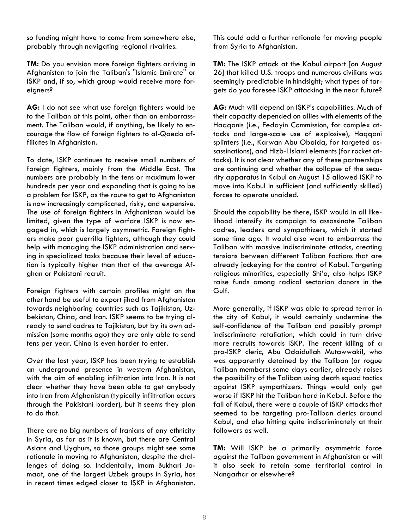so funding might have to come from somewhere else, probably through navigating regional rivalries.

**TM:** Do you envision more foreign fighters arriving in Afghanistan to join the Taliban's "Islamic Emirate" or ISKP and, if so, which group would receive more foreigners?

**AG:** I do not see what use foreign fighters would be to the Taliban at this point, other than an embarrassment. The Taliban would, if anything, be likely to encourage the flow of foreign fighters to al-Qaeda affiliates in Afghanistan.

To date, ISKP continues to receive small numbers of foreign fighters, mainly from the Middle East. The numbers are probably in the tens or maximum lower hundreds per year and expanding that is going to be a problem for ISKP, as the route to get to Afghanistan is now increasingly complicated, risky, and expensive. The use of foreign fighters in Afghanistan would be limited, given the type of warfare ISKP is now engaged in, which is largely asymmetric. Foreign fighters make poor guerrilla fighters, although they could help with managing the ISKP administration and serving in specialized tasks because their level of education is typically higher than that of the average Afghan or Pakistani recruit.

Foreign fighters with certain profiles might on the other hand be useful to export jihad from Afghanistan towards neighboring countries such as Tajikistan, Uzbekistan, China, and Iran. ISKP seems to be trying already to send cadres to Tajikistan, but by its own admission (some months ago) they are only able to send tens per year. China is even harder to enter.

Over the last year, ISKP has been trying to establish an underground presence in western Afghanistan, with the aim of enabling infiltration into Iran. It is not clear whether they have been able to get anybody into Iran from Afghanistan (typically infiltration occurs through the Pakistani border), but it seems they plan to do that.

There are no big numbers of Iranians of any ethnicity in Syria, as far as it is known, but there are Central Asians and Uyghurs, so those groups might see some rationale in moving to Afghanistan, despite the challenges of doing so. Incidentally, Imam Bukhari Jamaat, one of the largest Uzbek groups in Syria, has in recent times edged closer to ISKP in Afghanistan. This could add a further rationale for moving people from Syria to Afghanistan.

**TM:** The ISKP attack at the Kabul airport [on August 26] that killed U.S. troops and numerous civilians was seemingly predictable in hindsight; what types of targets do you foresee ISKP attacking in the near future?

**AG:** Much will depend on ISKP's capabilities. Much of their capacity depended on allies with elements of the Haqqanis (i.e., Fedayin Commission, for complex attacks and large-scale use of explosive), Haqqani splinters (i.e., Karwan Abu Obaida, for targeted assassinations), and Hizb-I Islami elements (for rocket attacks). It is not clear whether any of these partnerships are continuing and whether the collapse of the security apparatus in Kabul on August 15 allowed ISKP to move into Kabul in sufficient (and sufficiently skilled) forces to operate unaided.

Should the capability be there, ISKP would in all likelihood intensify its campaign to assassinate Taliban cadres, leaders and sympathizers, which it started some time ago. It would also want to embarrass the Taliban with massive indiscriminate attacks, creating tensions between different Taliban factions that are already jockeying for the control of Kabul. Targeting religious minorities, especially Shi'a, also helps ISKP raise funds among radical sectarian donors in the Gulf.

More generally, if ISKP was able to spread terror in the city of Kabul, it would certainly undermine the self-confidence of the Taliban and possibly prompt indiscriminate retaliation, which could in turn drive more recruits towards ISKP. The recent killing of a pro-ISKP cleric, Abu Odaidullah Mutawwakil, who was apparently detained by the Taliban (or rogue Taliban members) some days earlier, already raises the possibility of the Taliban using death squad tactics against ISKP sympathizers. Things would only get worse if ISKP hit the Taliban hard in Kabul. Before the fall of Kabul, there were a couple of ISKP attacks that seemed to be targeting pro-Taliban clerics around Kabul, and also hitting quite indiscriminately at their followers as well.

**TM:** Will ISKP be a primarily asymmetric force against the Taliban government in Afghanistan or will it also seek to retain some territorial control in Nangarhar or elsewhere?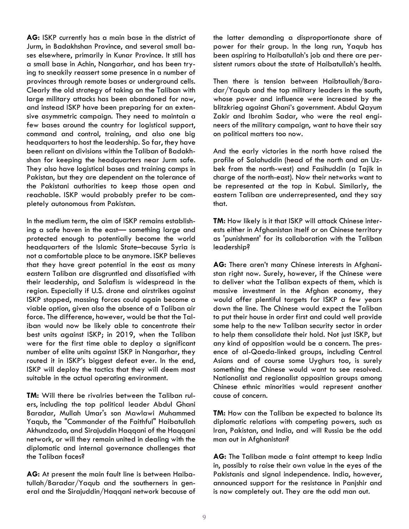**AG:** ISKP currently has a main base in the district of Jurm, in Badakhshan Province, and several small bases elsewhere, primarily in Kunar Province. It still has a small base in Achin, Nangarhar, and has been trying to sneakily reassert some presence in a number of provinces through remote bases or underground cells. Clearly the old strategy of taking on the Taliban with large military attacks has been abandoned for now, and instead ISKP have been preparing for an extensive asymmetric campaign. They need to maintain a few bases around the country for logistical support, command and control, training, and also one big headquarters to host the leadership. So far, they have been reliant on divisions within the Taliban of Badakhshan for keeping the headquarters near Jurm safe. They also have logistical bases and training camps in Pakistan, but they are dependent on the tolerance of the Pakistani authorities to keep those open and reachable. ISKP would probably prefer to be completely autonomous from Pakistan.

In the medium term, the aim of ISKP remains establishing a safe haven in the east— something large and protected enough to potentially become the world headquarters of the Islamic State–because Syria is not a comfortable place to be anymore. ISKP believes that they have great potential in the east as many eastern Taliban are disgruntled and dissatisfied with their leadership, and Salafism is widespread in the region. Especially if U.S. drone and airstrikes against ISKP stopped, massing forces could again become a viable option, given also the absence of a Taliban air force. The difference, however, would be that the Taliban would now be likely able to concentrate their best units against ISKP; in 2019, when the Taliban were for the first time able to deploy a significant number of elite units against ISKP in Nangarhar, they routed it in ISKP's biggest defeat ever. In the end, ISKP will deploy the tactics that they will deem most suitable in the actual operating environment.

**TM:** Will there be rivalries between the Taliban rulers, including the top political leader Abdul Ghani Baradar, Mullah Umar's son Mawlawi Muhammed Yaqub, the "Commander of the Faithful" Haibatullah Akhundzada, and Sirajuddin Haqqani of the Haqqani network, or will they remain united in dealing with the diplomatic and internal governance challenges that the Taliban faces?

**AG:** At present the main fault line is between Haibatullah/Baradar/Yaqub and the southerners in general and the Sirajuddin/Haqqani network because of the latter demanding a disproportionate share of power for their group. In the long run, Yaqub has been aspiring to Haibatullah's job and there are persistent rumors about the state of Haibatullah's health.

Then there is tension between Haibtaullah/Baradar/Yaqub and the top military leaders in the south, whose power and influence were increased by the blitzkrieg against Ghani's government. Abdul Qayum Zakir and Ibrahim Sadar, who were the real engineers of the military campaign, want to have their say on political matters too now.

And the early victories in the north have raised the profile of Salahuddin (head of the north and an Uzbek from the north-west) and Fasihuddin (a Tajik in charge of the north-east). Now their networks want to be represented at the top in Kabul. Similarly, the eastern Taliban are underrepresented, and they say that.

**TM:** How likely is it that ISKP will attack Chinese interests either in Afghanistan itself or on Chinese territory as 'punishment' for its collaboration with the Taliban leadership?

**AG:** There aren't many Chinese interests in Afghanistan right now. Surely, however, if the Chinese were to deliver what the Taliban expects of them, which is massive investment in the Afghan economy, they would offer plentiful targets for ISKP a few years down the line. The Chinese would expect the Taliban to put their house in order first and could well provide some help to the new Taliban security sector in order to help them consolidate their hold. Not just ISKP, but any kind of opposition would be a concern. The presence of al-Qaeda-linked groups, including Central Asians and of course some Uyghurs too, is surely something the Chinese would want to see resolved. Nationalist and regionalist opposition groups among Chinese ethnic minorities would represent another cause of concern.

**TM:** How can the Taliban be expected to balance its diplomatic relations with competing powers, such as Iran, Pakistan, and India, and will Russia be the odd man out in Afghanistan?

**AG:** The Taliban made a faint attempt to keep India in, possibly to raise their own value in the eyes of the Pakistanis and signal independence. India, however, announced support for the resistance in Panjshir and is now completely out. They are the odd man out.